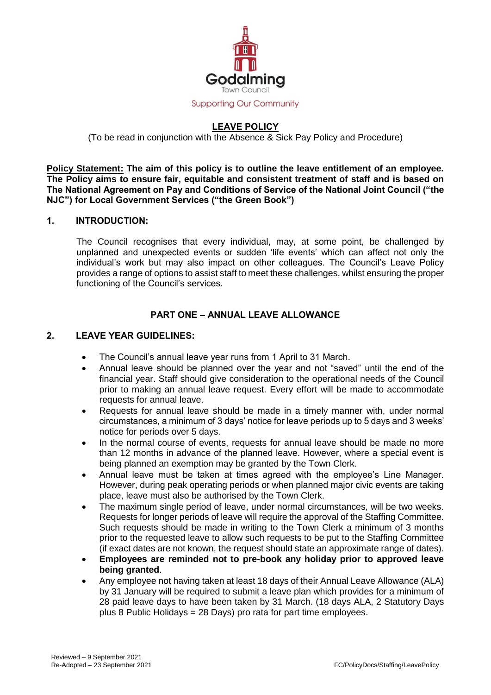

# **LEAVE POLICY**

(To be read in conjunction with the Absence & Sick Pay Policy and Procedure)

**Policy Statement: The aim of this policy is to outline the leave entitlement of an employee. The Policy aims to ensure fair, equitable and consistent treatment of staff and is based on The National Agreement on Pay and Conditions of Service of the National Joint Council ("the NJC") for Local Government Services ("the Green Book")**

#### **1. INTRODUCTION:**

The Council recognises that every individual, may, at some point, be challenged by unplanned and unexpected events or sudden 'life events' which can affect not only the individual's work but may also impact on other colleagues. The Council's Leave Policy provides a range of options to assist staff to meet these challenges, whilst ensuring the proper functioning of the Council's services.

## **PART ONE – ANNUAL LEAVE ALLOWANCE**

### **2. LEAVE YEAR GUIDELINES:**

- The Council's annual leave year runs from 1 April to 31 March.
- Annual leave should be planned over the year and not "saved" until the end of the financial year. Staff should give consideration to the operational needs of the Council prior to making an annual leave request. Every effort will be made to accommodate requests for annual leave.
- Requests for annual leave should be made in a timely manner with, under normal circumstances, a minimum of 3 days' notice for leave periods up to 5 days and 3 weeks' notice for periods over 5 days.
- In the normal course of events, requests for annual leave should be made no more than 12 months in advance of the planned leave. However, where a special event is being planned an exemption may be granted by the Town Clerk.
- Annual leave must be taken at times agreed with the employee's Line Manager. However, during peak operating periods or when planned major civic events are taking place, leave must also be authorised by the Town Clerk.
- The maximum single period of leave, under normal circumstances, will be two weeks. Requests for longer periods of leave will require the approval of the Staffing Committee. Such requests should be made in writing to the Town Clerk a minimum of 3 months prior to the requested leave to allow such requests to be put to the Staffing Committee (if exact dates are not known, the request should state an approximate range of dates).
- **Employees are reminded not to pre-book any holiday prior to approved leave being granted**.
- Any employee not having taken at least 18 days of their Annual Leave Allowance (ALA) by 31 January will be required to submit a leave plan which provides for a minimum of 28 paid leave days to have been taken by 31 March. (18 days ALA, 2 Statutory Days plus 8 Public Holidays = 28 Days) pro rata for part time employees.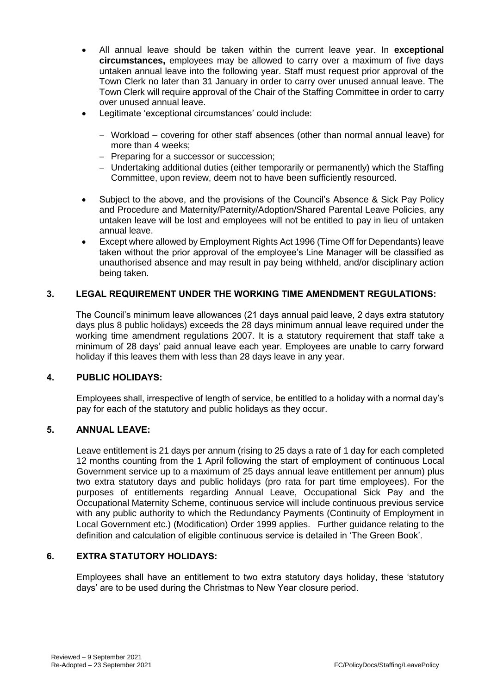- All annual leave should be taken within the current leave year. In **exceptional circumstances,** employees may be allowed to carry over a maximum of five days untaken annual leave into the following year. Staff must request prior approval of the Town Clerk no later than 31 January in order to carry over unused annual leave. The Town Clerk will require approval of the Chair of the Staffing Committee in order to carry over unused annual leave.
- Legitimate 'exceptional circumstances' could include:
	- Workload covering for other staff absences (other than normal annual leave) for more than 4 weeks;
	- Preparing for a successor or succession;
	- Undertaking additional duties (either temporarily or permanently) which the Staffing Committee, upon review, deem not to have been sufficiently resourced.
- Subject to the above, and the provisions of the Council's Absence & Sick Pay Policy and Procedure and Maternity/Paternity/Adoption/Shared Parental Leave Policies, any untaken leave will be lost and employees will not be entitled to pay in lieu of untaken annual leave.
- Except where allowed by Employment Rights Act 1996 (Time Off for Dependants) leave taken without the prior approval of the employee's Line Manager will be classified as unauthorised absence and may result in pay being withheld, and/or disciplinary action being taken.

### **3. LEGAL REQUIREMENT UNDER THE WORKING TIME AMENDMENT REGULATIONS:**

The Council's minimum leave allowances (21 days annual paid leave, 2 days extra statutory days plus 8 public holidays) exceeds the 28 days minimum annual leave required under the working time amendment regulations 2007. It is a statutory requirement that staff take a minimum of 28 days' paid annual leave each year. Employees are unable to carry forward holiday if this leaves them with less than 28 days leave in any year.

### **4. PUBLIC HOLIDAYS:**

Employees shall, irrespective of length of service, be entitled to a holiday with a normal day's pay for each of the statutory and public holidays as they occur.

### **5. ANNUAL LEAVE:**

Leave entitlement is 21 days per annum (rising to 25 days a rate of 1 day for each completed 12 months counting from the 1 April following the start of employment of continuous Local Government service up to a maximum of 25 days annual leave entitlement per annum) plus two extra statutory days and public holidays (pro rata for part time employees). For the purposes of entitlements regarding Annual Leave, Occupational Sick Pay and the Occupational Maternity Scheme, continuous service will include continuous previous service with any public authority to which the Redundancy Payments (Continuity of Employment in Local Government etc.) (Modification) Order 1999 applies. Further guidance relating to the definition and calculation of eligible continuous service is detailed in 'The Green Book'.

## **6. EXTRA STATUTORY HOLIDAYS:**

Employees shall have an entitlement to two extra statutory days holiday, these 'statutory days' are to be used during the Christmas to New Year closure period.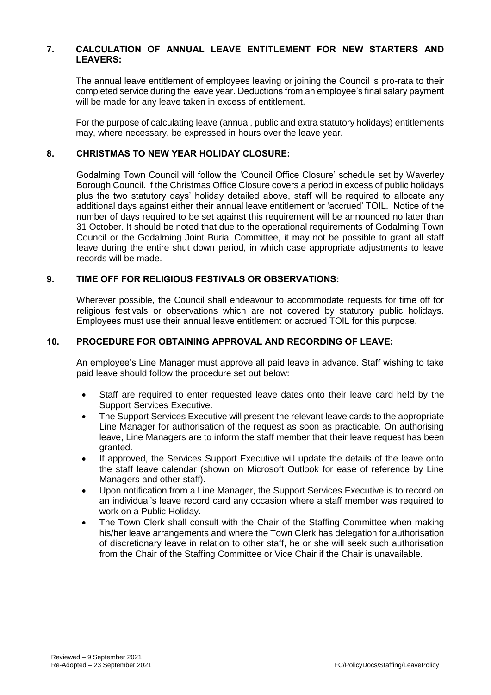### **7. CALCULATION OF ANNUAL LEAVE ENTITLEMENT FOR NEW STARTERS AND LEAVERS:**

The annual leave entitlement of employees leaving or joining the Council is pro-rata to their completed service during the leave year. Deductions from an employee's final salary payment will be made for any leave taken in excess of entitlement.

For the purpose of calculating leave (annual, public and extra statutory holidays) entitlements may, where necessary, be expressed in hours over the leave year.

### **8. CHRISTMAS TO NEW YEAR HOLIDAY CLOSURE:**

Godalming Town Council will follow the 'Council Office Closure' schedule set by Waverley Borough Council. If the Christmas Office Closure covers a period in excess of public holidays plus the two statutory days' holiday detailed above, staff will be required to allocate any additional days against either their annual leave entitlement or 'accrued' TOIL. Notice of the number of days required to be set against this requirement will be announced no later than 31 October. It should be noted that due to the operational requirements of Godalming Town Council or the Godalming Joint Burial Committee, it may not be possible to grant all staff leave during the entire shut down period, in which case appropriate adjustments to leave records will be made.

#### **9. TIME OFF FOR RELIGIOUS FESTIVALS OR OBSERVATIONS:**

Wherever possible, the Council shall endeavour to accommodate requests for time off for religious festivals or observations which are not covered by statutory public holidays. Employees must use their annual leave entitlement or accrued TOIL for this purpose.

#### **10. PROCEDURE FOR OBTAINING APPROVAL AND RECORDING OF LEAVE:**

An employee's Line Manager must approve all paid leave in advance. Staff wishing to take paid leave should follow the procedure set out below:

- Staff are required to enter requested leave dates onto their leave card held by the Support Services Executive.
- The Support Services Executive will present the relevant leave cards to the appropriate Line Manager for authorisation of the request as soon as practicable. On authorising leave, Line Managers are to inform the staff member that their leave request has been granted.
- If approved, the Services Support Executive will update the details of the leave onto the staff leave calendar (shown on Microsoft Outlook for ease of reference by Line Managers and other staff).
- Upon notification from a Line Manager, the Support Services Executive is to record on an individual's leave record card any occasion where a staff member was required to work on a Public Holiday.
- The Town Clerk shall consult with the Chair of the Staffing Committee when making his/her leave arrangements and where the Town Clerk has delegation for authorisation of discretionary leave in relation to other staff, he or she will seek such authorisation from the Chair of the Staffing Committee or Vice Chair if the Chair is unavailable.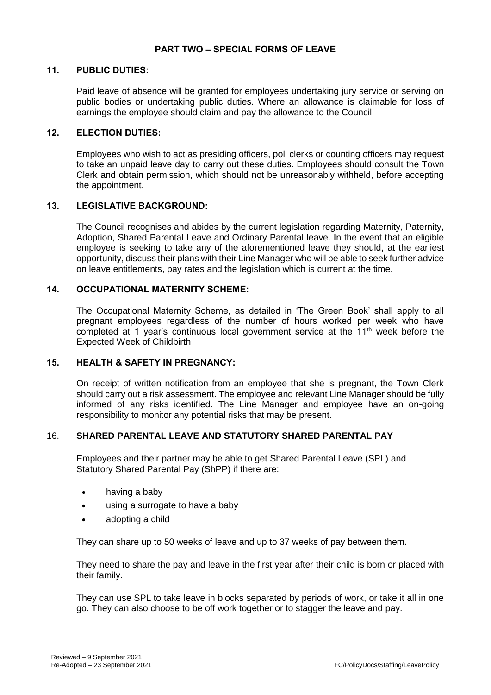#### **11. PUBLIC DUTIES:**

Paid leave of absence will be granted for employees undertaking jury service or serving on public bodies or undertaking public duties. Where an allowance is claimable for loss of earnings the employee should claim and pay the allowance to the Council.

#### **12. ELECTION DUTIES:**

Employees who wish to act as presiding officers, poll clerks or counting officers may request to take an unpaid leave day to carry out these duties. Employees should consult the Town Clerk and obtain permission, which should not be unreasonably withheld, before accepting the appointment.

#### **13. LEGISLATIVE BACKGROUND:**

The Council recognises and abides by the current legislation regarding Maternity, Paternity, Adoption, Shared Parental Leave and Ordinary Parental leave. In the event that an eligible employee is seeking to take any of the aforementioned leave they should, at the earliest opportunity, discuss their plans with their Line Manager who will be able to seek further advice on leave entitlements, pay rates and the legislation which is current at the time.

#### **14. OCCUPATIONAL MATERNITY SCHEME:**

The Occupational Maternity Scheme, as detailed in 'The Green Book' shall apply to all pregnant employees regardless of the number of hours worked per week who have completed at 1 year's continuous local government service at the 11<sup>th</sup> week before the Expected Week of Childbirth

#### **15. HEALTH & SAFETY IN PREGNANCY:**

On receipt of written notification from an employee that she is pregnant, the Town Clerk should carry out a risk assessment. The employee and relevant Line Manager should be fully informed of any risks identified. The Line Manager and employee have an on-going responsibility to monitor any potential risks that may be present.

### 16. **SHARED PARENTAL LEAVE AND STATUTORY SHARED PARENTAL PAY**

Employees and their partner may be able to get Shared Parental Leave (SPL) and Statutory Shared Parental Pay (ShPP) if there are:

- having a baby
- using a surrogate to have a baby
- adopting a child

They can share up to 50 weeks of leave and up to 37 weeks of pay between them.

They need to share the pay and leave in the first year after their child is born or placed with their family.

They can use SPL to take leave in blocks separated by periods of work, or take it all in one go. They can also choose to be off work together or to stagger the leave and pay.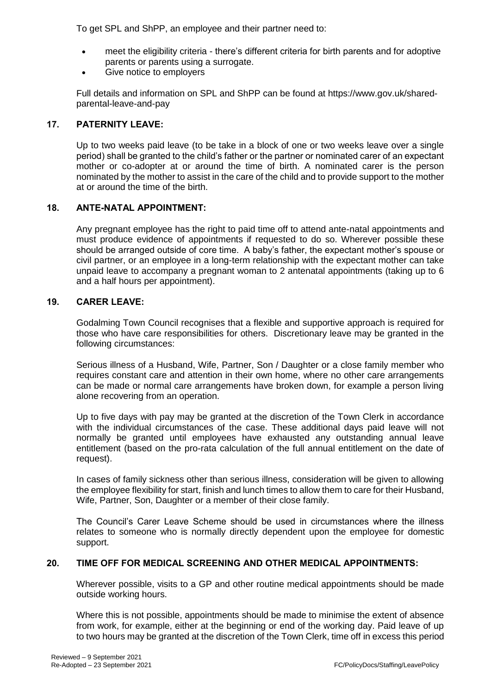To get SPL and ShPP, an employee and their partner need to:

- meet the eligibility criteria there's different criteria for birth parents and for adoptive parents or parents using a surrogate.
- Give notice to employers

Full details and information on SPL and ShPP can be found at https://www.gov.uk/sharedparental-leave-and-pay

### **17. PATERNITY LEAVE:**

Up to two weeks paid leave (to be take in a block of one or two weeks leave over a single period) shall be granted to the child's father or the partner or nominated carer of an expectant mother or co-adopter at or around the time of birth. A nominated carer is the person nominated by the mother to assist in the care of the child and to provide support to the mother at or around the time of the birth.

### **18. ANTE-NATAL APPOINTMENT:**

Any pregnant employee has the right to paid time off to attend ante-natal appointments and must produce evidence of appointments if requested to do so. Wherever possible these should be arranged outside of core time. A baby's father, the expectant mother's spouse or civil partner, or an employee in a long-term relationship with the expectant mother can take unpaid leave to accompany a pregnant woman to 2 antenatal appointments (taking up to 6 and a half hours per appointment).

### **19. CARER LEAVE:**

Godalming Town Council recognises that a flexible and supportive approach is required for those who have care responsibilities for others. Discretionary leave may be granted in the following circumstances:

Serious illness of a Husband, Wife, Partner, Son / Daughter or a close family member who requires constant care and attention in their own home, where no other care arrangements can be made or normal care arrangements have broken down, for example a person living alone recovering from an operation.

Up to five days with pay may be granted at the discretion of the Town Clerk in accordance with the individual circumstances of the case. These additional days paid leave will not normally be granted until employees have exhausted any outstanding annual leave entitlement (based on the pro-rata calculation of the full annual entitlement on the date of request).

In cases of family sickness other than serious illness, consideration will be given to allowing the employee flexibility for start, finish and lunch times to allow them to care for their Husband, Wife, Partner, Son, Daughter or a member of their close family.

The Council's Carer Leave Scheme should be used in circumstances where the illness relates to someone who is normally directly dependent upon the employee for domestic support.

### **20. TIME OFF FOR MEDICAL SCREENING AND OTHER MEDICAL APPOINTMENTS:**

Wherever possible, visits to a GP and other routine medical appointments should be made outside working hours.

Where this is not possible, appointments should be made to minimise the extent of absence from work, for example, either at the beginning or end of the working day. Paid leave of up to two hours may be granted at the discretion of the Town Clerk, time off in excess this period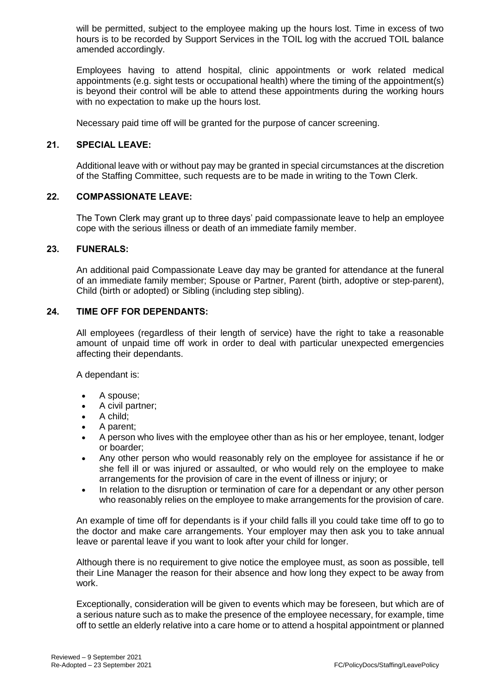will be permitted, subject to the employee making up the hours lost. Time in excess of two hours is to be recorded by Support Services in the TOIL log with the accrued TOIL balance amended accordingly.

Employees having to attend hospital, clinic appointments or work related medical appointments (e.g. sight tests or occupational health) where the timing of the appointment(s) is beyond their control will be able to attend these appointments during the working hours with no expectation to make up the hours lost.

Necessary paid time off will be granted for the purpose of cancer screening.

### **21. SPECIAL LEAVE:**

Additional leave with or without pay may be granted in special circumstances at the discretion of the Staffing Committee, such requests are to be made in writing to the Town Clerk.

#### **22. COMPASSIONATE LEAVE:**

The Town Clerk may grant up to three days' paid compassionate leave to help an employee cope with the serious illness or death of an immediate family member.

#### **23. FUNERALS:**

An additional paid Compassionate Leave day may be granted for attendance at the funeral of an immediate family member; Spouse or Partner, Parent (birth, adoptive or step-parent), Child (birth or adopted) or Sibling (including step sibling).

#### **24. TIME OFF FOR DEPENDANTS:**

All employees (regardless of their length of service) have the right to take a reasonable amount of unpaid time off work in order to deal with particular unexpected emergencies affecting their dependants.

A dependant is:

- A spouse;
- A civil partner;
- A child;
- A parent;
- A person who lives with the employee other than as his or her employee, tenant, lodger or boarder;
- Any other person who would reasonably rely on the employee for assistance if he or she fell ill or was injured or assaulted, or who would rely on the employee to make arrangements for the provision of care in the event of illness or injury; or
- In relation to the disruption or termination of care for a dependant or any other person who reasonably relies on the employee to make arrangements for the provision of care.

An example of time off for dependants is if your child falls ill you could take time off to go to the doctor and make care arrangements. Your employer may then ask you to take [annual](https://www.gov.uk/holiday-entitlement-rights)  [leave](https://www.gov.uk/holiday-entitlement-rights) or [parental leave](https://www.gov.uk/parental-leave) if you want to look after your child for longer.

Although there is no requirement to give notice the employee must, as soon as possible, tell their Line Manager the reason for their absence and how long they expect to be away from work.

Exceptionally, consideration will be given to events which may be foreseen, but which are of a serious nature such as to make the presence of the employee necessary, for example, time off to settle an elderly relative into a care home or to attend a hospital appointment or planned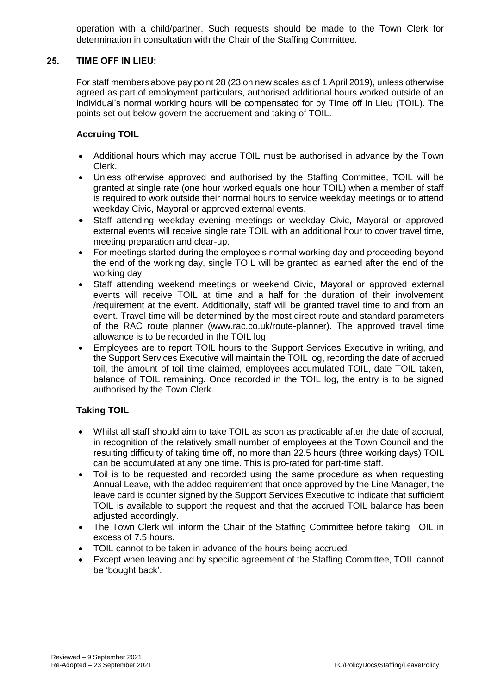operation with a child/partner. Such requests should be made to the Town Clerk for determination in consultation with the Chair of the Staffing Committee.

### **25. TIME OFF IN LIEU:**

For staff members above pay point 28 (23 on new scales as of 1 April 2019), unless otherwise agreed as part of employment particulars, authorised additional hours worked outside of an individual's normal working hours will be compensated for by Time off in Lieu (TOIL). The points set out below govern the accruement and taking of TOIL.

### **Accruing TOIL**

- Additional hours which may accrue TOIL must be authorised in advance by the Town Clerk.
- Unless otherwise approved and authorised by the Staffing Committee, TOIL will be granted at single rate (one hour worked equals one hour TOIL) when a member of staff is required to work outside their normal hours to service weekday meetings or to attend weekday Civic, Mayoral or approved external events.
- Staff attending weekday evening meetings or weekday Civic, Mayoral or approved external events will receive single rate TOIL with an additional hour to cover travel time, meeting preparation and clear-up.
- For meetings started during the employee's normal working day and proceeding beyond the end of the working day, single TOIL will be granted as earned after the end of the working day.
- Staff attending weekend meetings or weekend Civic, Mayoral or approved external events will receive TOIL at time and a half for the duration of their involvement /requirement at the event. Additionally, staff will be granted travel time to and from an event. Travel time will be determined by the most direct route and standard parameters of the RAC route planner (www.rac.co.uk/route-planner). The approved travel time allowance is to be recorded in the TOIL log.
- Employees are to report TOIL hours to the Support Services Executive in writing, and the Support Services Executive will maintain the TOIL log, recording the date of accrued toil, the amount of toil time claimed, employees accumulated TOIL, date TOIL taken, balance of TOIL remaining. Once recorded in the TOIL log, the entry is to be signed authorised by the Town Clerk.

### **Taking TOIL**

- Whilst all staff should aim to take TOIL as soon as practicable after the date of accrual, in recognition of the relatively small number of employees at the Town Council and the resulting difficulty of taking time off, no more than 22.5 hours (three working days) TOIL can be accumulated at any one time. This is pro-rated for part-time staff.
- Toil is to be requested and recorded using the same procedure as when requesting Annual Leave, with the added requirement that once approved by the Line Manager, the leave card is counter signed by the Support Services Executive to indicate that sufficient TOIL is available to support the request and that the accrued TOIL balance has been adjusted accordingly.
- The Town Clerk will inform the Chair of the Staffing Committee before taking TOIL in excess of 7.5 hours.
- TOIL cannot to be taken in advance of the hours being accrued.
- Except when leaving and by specific agreement of the Staffing Committee, TOIL cannot be 'bought back'.